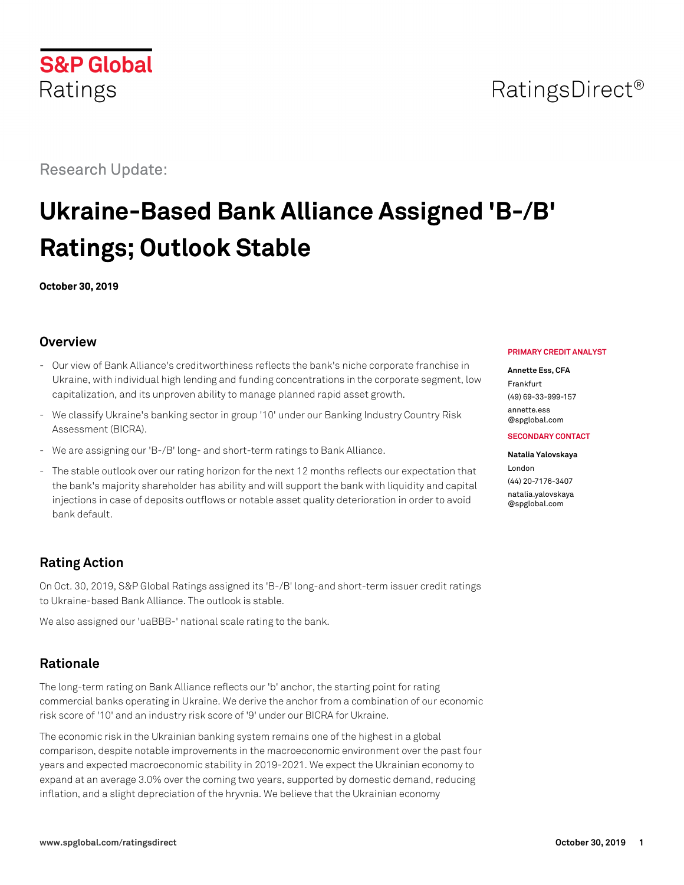# Research Update:

# **Ukraine-Based Bank Alliance Assigned 'B-/B' Ratings; Outlook Stable**

**October 30, 2019**

# **Overview**

- Our view of Bank Alliance's creditworthiness reflects the bank's niche corporate franchise in Ukraine, with individual high lending and funding concentrations in the corporate segment, low capitalization, and its unproven ability to manage planned rapid asset growth.
- We classify Ukraine's banking sector in group '10' under our Banking Industry Country Risk Assessment (BICRA).
- We are assigning our 'B-/B' long- and short-term ratings to Bank Alliance.
- The stable outlook over our rating horizon for the next 12 months reflects our expectation that the bank's majority shareholder has ability and will support the bank with liquidity and capital injections in case of deposits outflows or notable asset quality deterioration in order to avoid bank default.

# **Rating Action**

On Oct. 30, 2019, S&P Global Ratings assigned its 'B-/B' long-and short-term issuer credit ratings to Ukraine-based Bank Alliance. The outlook is stable.

We also assigned our 'uaBBB-' national scale rating to the bank.

# **Rationale**

The long-term rating on Bank Alliance reflects our 'b' anchor, the starting point for rating commercial banks operating in Ukraine. We derive the anchor from a combination of our economic risk score of '10' and an industry risk score of '9' under our BICRA for Ukraine.

The economic risk in the Ukrainian banking system remains one of the highest in a global comparison, despite notable improvements in the macroeconomic environment over the past four years and expected macroeconomic stability in 2019-2021. We expect the Ukrainian economy to expand at an average 3.0% over the coming two years, supported by domestic demand, reducing inflation, and a slight depreciation of the hryvnia. We believe that the Ukrainian economy

#### **PRIMARY CREDIT ANALYST**

#### **Annette Ess, CFA**

Frankfurt (49) 69-33-999-157 [annette.ess](mailto:annette.ess@spglobal.com)

[@spglobal.com](mailto:annette.ess@spglobal.com) **SECONDARY CONTACT**

# **Natalia Yalovskaya**

London (44) 20-7176-3407 [natalia.yalovskaya](mailto:natalia.yalovskaya@spglobal.com) [@spglobal.com](mailto:natalia.yalovskaya@spglobal.com)

# **S&P Global** Ratings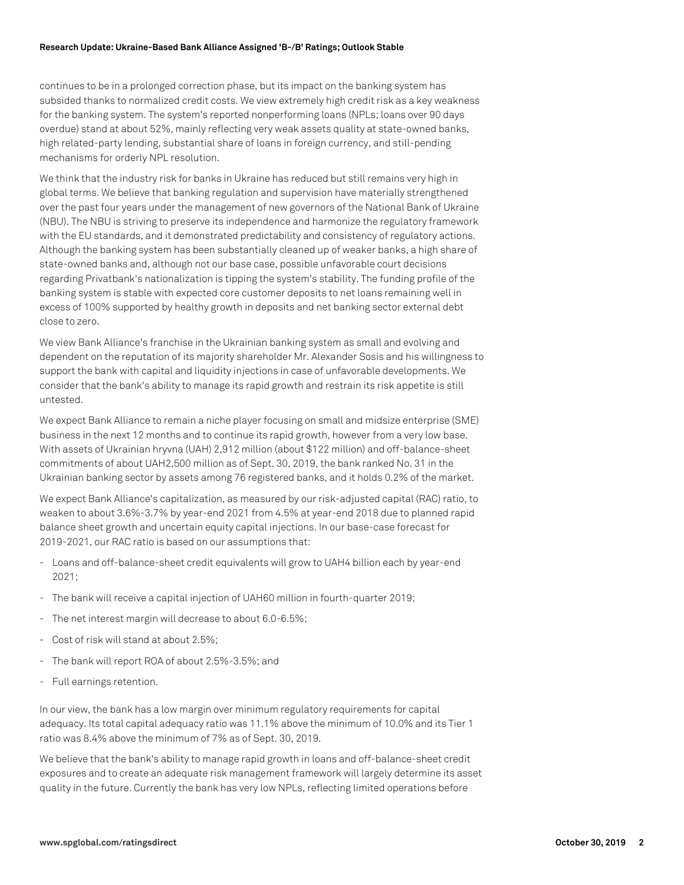#### **Research Update: Ukraine-Based Bank Alliance Assigned 'B-/B' Ratings; Outlook Stable**

continues to be in a prolonged correction phase, but its impact on the banking system has subsided thanks to normalized credit costs. We view extremely high credit risk as a key weakness for the banking system. The system's reported nonperforming loans (NPLs; loans over 90 days overdue) stand at about 52%, mainly reflecting very weak assets quality at state-owned banks, high related-party lending, substantial share of loans in foreign currency, and still-pending mechanisms for orderly NPL resolution.

We think that the industry risk for banks in Ukraine has reduced but still remains very high in global terms. We believe that banking regulation and supervision have materially strengthened over the past four years under the management of new governors of the National Bank of Ukraine (NBU). The NBU is striving to preserve its independence and harmonize the regulatory framework with the EU standards, and it demonstrated predictability and consistency of regulatory actions. Although the banking system has been substantially cleaned up of weaker banks, a high share of state-owned banks and, although not our base case, possible unfavorable court decisions regarding Privatbank's nationalization is tipping the system's stability. The funding profile of the banking system is stable with expected core customer deposits to net loans remaining well in excess of 100% supported by healthy growth in deposits and net banking sector external debt close to zero.

We view Bank Alliance's franchise in the Ukrainian banking system as small and evolving and dependent on the reputation of its majority shareholder Mr. Alexander Sosis and his willingness to support the bank with capital and liquidity injections in case of unfavorable developments. We consider that the bank's ability to manage its rapid growth and restrain its risk appetite is still untested.

We expect Bank Alliance to remain a niche player focusing on small and midsize enterprise (SME) business in the next 12 months and to continue its rapid growth, however from a very low base. With assets of Ukrainian hryvna (UAH) 2,912 million (about \$122 million) and off-balance-sheet commitments of about UAH2,500 million as of Sept. 30, 2019, the bank ranked No. 31 in the Ukrainian banking sector by assets among 76 registered banks, and it holds 0.2% of the market.

We expect Bank Alliance's capitalization, as measured by our risk-adjusted capital (RAC) ratio, to weaken to about 3.6%-3.7% by year-end 2021 from 4.5% at year-end 2018 due to planned rapid balance sheet growth and uncertain equity capital injections. In our base-case forecast for 2019-2021, our RAC ratio is based on our assumptions that:

- Loans and off-balance-sheet credit equivalents will grow to UAH4 billion each by year-end 2021;
- The bank will receive a capital injection of UAH60 million in fourth-quarter 2019;
- The net interest margin will decrease to about 6.0-6.5%;
- Cost of risk will stand at about 2.5%;
- The bank will report ROA of about 2.5%-3.5%; and
- Full earnings retention.

In our view, the bank has a low margin over minimum regulatory requirements for capital adequacy. Its total capital adequacy ratio was 11.1% above the minimum of 10.0% and its Tier 1 ratio was 8.4% above the minimum of 7% as of Sept. 30, 2019.

We believe that the bank's ability to manage rapid growth in loans and off-balance-sheet credit exposures and to create an adequate risk management framework will largely determine its asset quality in the future. Currently the bank has very low NPLs, reflecting limited operations before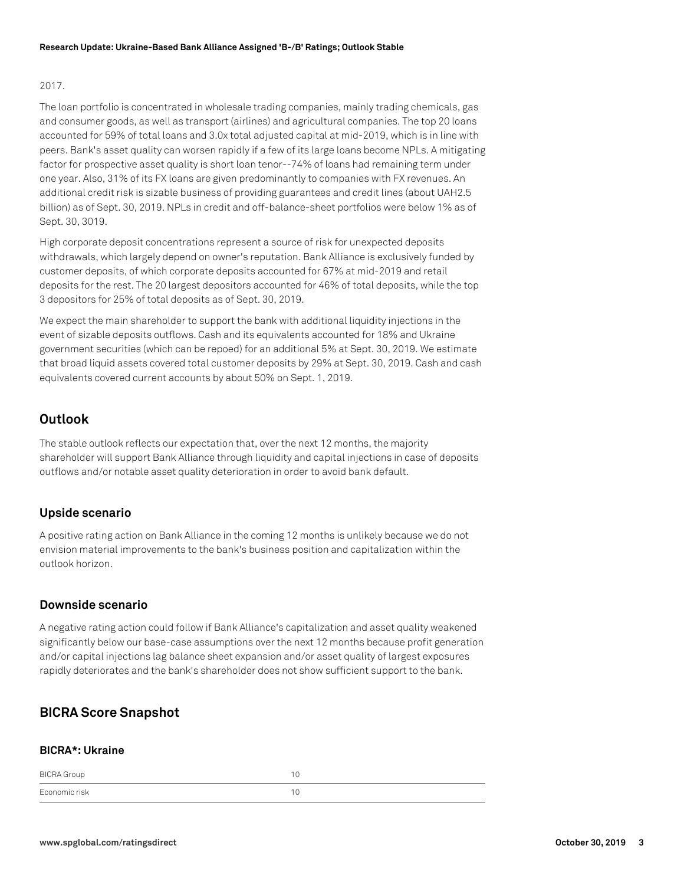#### 2017.

The loan portfolio is concentrated in wholesale trading companies, mainly trading chemicals, gas and consumer goods, as well as transport (airlines) and agricultural companies. The top 20 loans accounted for 59% of total loans and 3.0x total adjusted capital at mid-2019, which is in line with peers. Bank's asset quality can worsen rapidly if a few of its large loans become NPLs. A mitigating factor for prospective asset quality is short loan tenor--74% of loans had remaining term under one year. Also, 31% of its FX loans are given predominantly to companies with FX revenues. An additional credit risk is sizable business of providing guarantees and credit lines (about UAH2.5 billion) as of Sept. 30, 2019. NPLs in credit and off-balance-sheet portfolios were below 1% as of Sept. 30, 3019.

High corporate deposit concentrations represent a source of risk for unexpected deposits withdrawals, which largely depend on owner's reputation. Bank Alliance is exclusively funded by customer deposits, of which corporate deposits accounted for 67% at mid-2019 and retail deposits for the rest. The 20 largest depositors accounted for 46% of total deposits, while the top 3 depositors for 25% of total deposits as of Sept. 30, 2019.

We expect the main shareholder to support the bank with additional liquidity injections in the event of sizable deposits outflows. Cash and its equivalents accounted for 18% and Ukraine government securities (which can be repoed) for an additional 5% at Sept. 30, 2019. We estimate that broad liquid assets covered total customer deposits by 29% at Sept. 30, 2019. Cash and cash equivalents covered current accounts by about 50% on Sept. 1, 2019.

### **Outlook**

The stable outlook reflects our expectation that, over the next 12 months, the majority shareholder will support Bank Alliance through liquidity and capital injections in case of deposits outflows and/or notable asset quality deterioration in order to avoid bank default.

#### **Upside scenario**

A positive rating action on Bank Alliance in the coming 12 months is unlikely because we do not envision material improvements to the bank's business position and capitalization within the outlook horizon.

#### **Downside scenario**

A negative rating action could follow if Bank Alliance's capitalization and asset quality weakened significantly below our base-case assumptions over the next 12 months because profit generation and/or capital injections lag balance sheet expansion and/or asset quality of largest exposures rapidly deteriorates and the bank's shareholder does not show sufficient support to the bank.

## **BICRA Score Snapshot**

#### **BICRA\*: Ukraine**

| <b>BICRA</b> Group |  |
|--------------------|--|
| Economic risk      |  |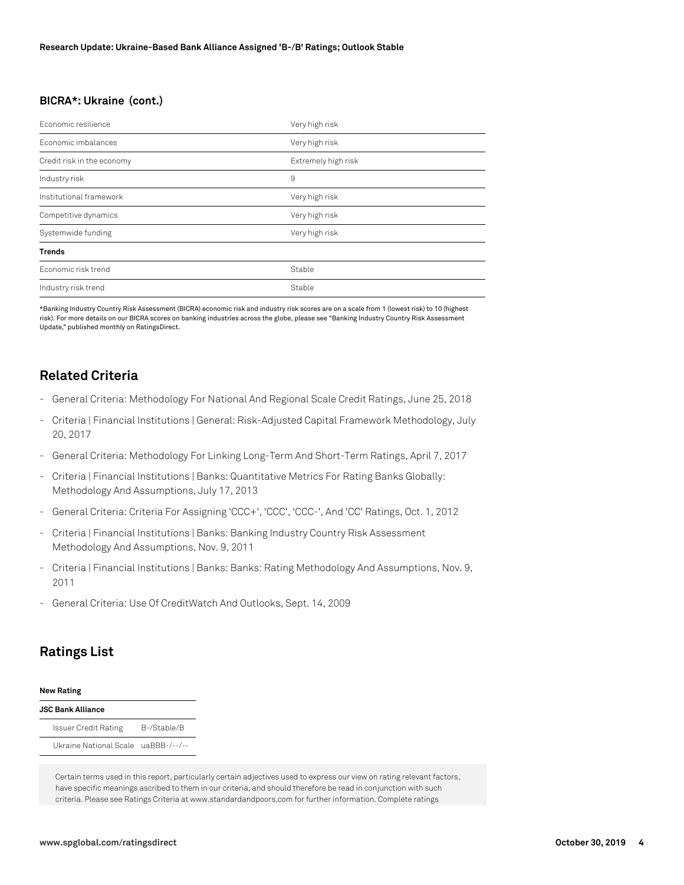#### **BICRA\*: Ukraine (cont.)**

| Economic resilience        | Very high risk      |
|----------------------------|---------------------|
| Economic imbalances        | Very high risk      |
| Credit risk in the economy | Extremely high risk |
| Industry risk              | 9                   |
| Institutional framework    | Very high risk      |
| Competitive dynamics       | Very high risk      |
| Systemwide funding         | Very high risk      |
| <b>Trends</b>              |                     |
| Economic risk trend        | Stable              |
| Industry risk trend        | Stable              |

\*Banking Industry Country Risk Assessment (BICRA) economic risk and industry risk scores are on a scale from 1 (lowest risk) to 10 (highest risk). For more details on our BICRA scores on banking industries across the globe, please see "Banking Industry Country Risk Assessment Update," published monthly on RatingsDirect.

#### **Related Criteria**

- General Criteria: Methodology For National And Regional Scale Credit Ratings, June 25, 2018
- Criteria | Financial Institutions | General: Risk-Adjusted Capital Framework Methodology, July 20, 2017
- General Criteria: Methodology For Linking Long-Term And Short-Term Ratings, April 7, 2017
- Criteria | Financial Institutions | Banks: Quantitative Metrics For Rating Banks Globally: Methodology And Assumptions, July 17, 2013
- General Criteria: Criteria For Assigning 'CCC+', 'CCC', 'CCC-', And 'CC' Ratings, Oct. 1, 2012
- Criteria | Financial Institutions | Banks: Banking Industry Country Risk Assessment Methodology And Assumptions, Nov. 9, 2011
- Criteria | Financial Institutions | Banks: Banks: Rating Methodology And Assumptions, Nov. 9, 2011
- General Criteria: Use Of CreditWatch And Outlooks, Sept. 14, 2009

### **Ratings List**

#### **New Rating**

#### **JSC Bank Alliance**

| <b>Issuer Credit Rating</b>         | B-/Stable/B |
|-------------------------------------|-------------|
| Ukraine National Scale uaBBB-/--/-- |             |

Certain terms used in this report, particularly certain adjectives used to express our view on rating relevant factors, have specific meanings ascribed to them in our criteria, and should therefore be read in conjunction with such criteria. Please see Ratings Criteria at www.standardandpoors.com for further information. Complete ratings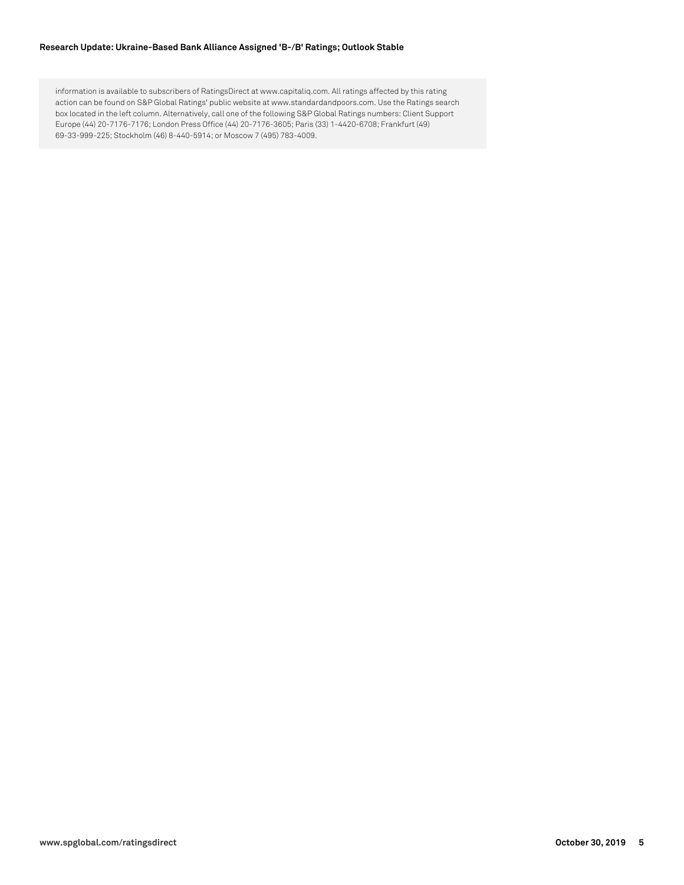#### **Research Update: Ukraine-Based Bank Alliance Assigned 'B-/B' Ratings; Outlook Stable**

information is available to subscribers of RatingsDirect at www.capitaliq.com. All ratings affected by this rating action can be found on S&P Global Ratings' public website at www.standardandpoors.com. Use the Ratings search box located in the left column. Alternatively, call one of the following S&P Global Ratings numbers: Client Support Europe (44) 20-7176-7176; London Press Office (44) 20-7176-3605; Paris (33) 1-4420-6708; Frankfurt (49) 69-33-999-225; Stockholm (46) 8-440-5914; or Moscow 7 (495) 783-4009.